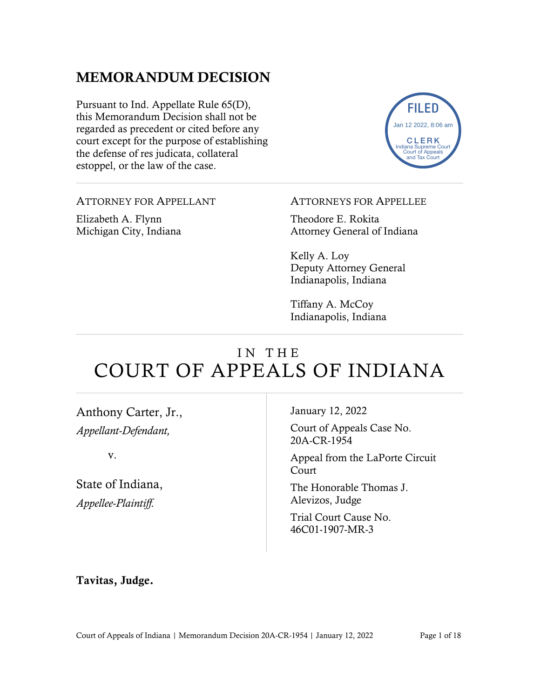## MEMORANDUM DECISION

Pursuant to Ind. Appellate Rule 65(D), this Memorandum Decision shall not be regarded as precedent or cited before any court except for the purpose of establishing the defense of res judicata, collateral estoppel, or the law of the case.



ATTORNEY FOR APPELLANT

Elizabeth A. Flynn Michigan City, Indiana ATTORNEYS FOR APPELLEE

Theodore E. Rokita Attorney General of Indiana

Kelly A. Loy Deputy Attorney General Indianapolis, Indiana

Tiffany A. McCoy Indianapolis, Indiana

# IN THE COURT OF APPEALS OF INDIANA

Anthony Carter, Jr., *Appellant-Defendant,*

v.

State of Indiana, *Appellee-Plaintiff.*

January 12, 2022

Court of Appeals Case No. 20A-CR-1954

Appeal from the LaPorte Circuit Court

The Honorable Thomas J. Alevizos, Judge

Trial Court Cause No. 46C01-1907-MR-3

Tavitas, Judge.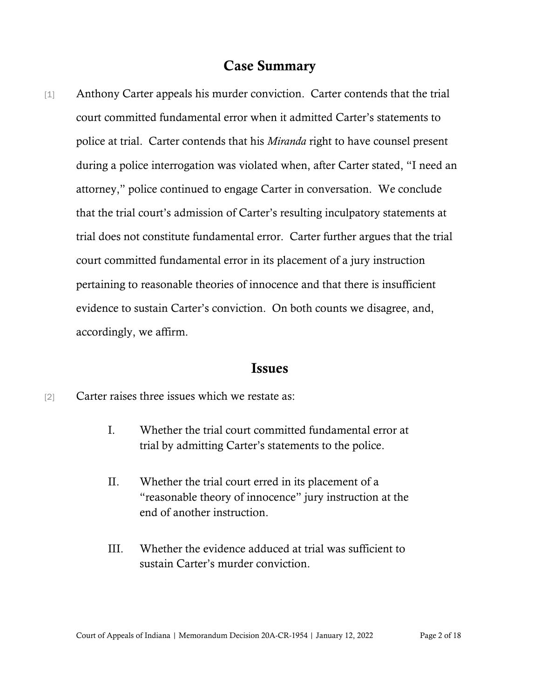## Case Summary

[1] Anthony Carter appeals his murder conviction. Carter contends that the trial court committed fundamental error when it admitted Carter's statements to police at trial. Carter contends that his *Miranda* right to have counsel present during a police interrogation was violated when, after Carter stated, "I need an attorney," police continued to engage Carter in conversation. We conclude that the trial court's admission of Carter's resulting inculpatory statements at trial does not constitute fundamental error. Carter further argues that the trial court committed fundamental error in its placement of a jury instruction pertaining to reasonable theories of innocence and that there is insufficient evidence to sustain Carter's conviction. On both counts we disagree, and, accordingly, we affirm.

#### Issues

- [2] Carter raises three issues which we restate as:
	- I. Whether the trial court committed fundamental error at trial by admitting Carter's statements to the police.
	- II. Whether the trial court erred in its placement of a "reasonable theory of innocence" jury instruction at the end of another instruction.
	- III. Whether the evidence adduced at trial was sufficient to sustain Carter's murder conviction.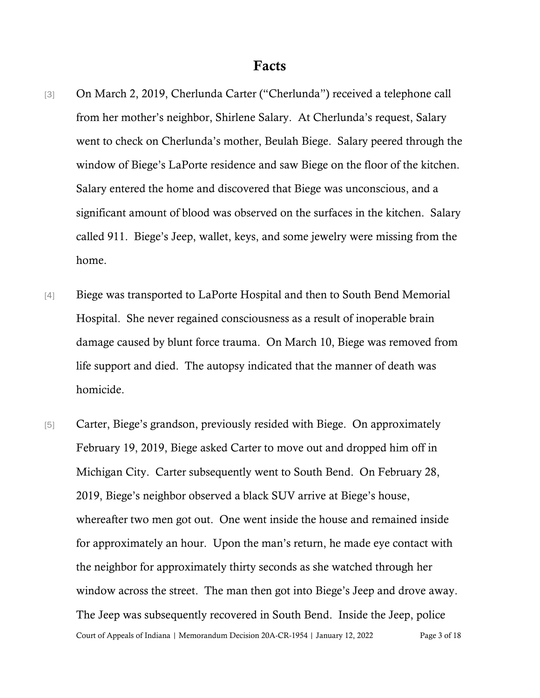- [3] On March 2, 2019, Cherlunda Carter ("Cherlunda") received a telephone call from her mother's neighbor, Shirlene Salary. At Cherlunda's request, Salary went to check on Cherlunda's mother, Beulah Biege. Salary peered through the window of Biege's LaPorte residence and saw Biege on the floor of the kitchen. Salary entered the home and discovered that Biege was unconscious, and a significant amount of blood was observed on the surfaces in the kitchen. Salary called 911. Biege's Jeep, wallet, keys, and some jewelry were missing from the home.
- [4] Biege was transported to LaPorte Hospital and then to South Bend Memorial Hospital. She never regained consciousness as a result of inoperable brain damage caused by blunt force trauma. On March 10, Biege was removed from life support and died. The autopsy indicated that the manner of death was homicide.
- Court of Appeals of Indiana | Memorandum Decision 20A-CR-1954 | January 12, 2022 Page 3 of 18 [5] Carter, Biege's grandson, previously resided with Biege. On approximately February 19, 2019, Biege asked Carter to move out and dropped him off in Michigan City. Carter subsequently went to South Bend. On February 28, 2019, Biege's neighbor observed a black SUV arrive at Biege's house, whereafter two men got out. One went inside the house and remained inside for approximately an hour. Upon the man's return, he made eye contact with the neighbor for approximately thirty seconds as she watched through her window across the street. The man then got into Biege's Jeep and drove away. The Jeep was subsequently recovered in South Bend. Inside the Jeep, police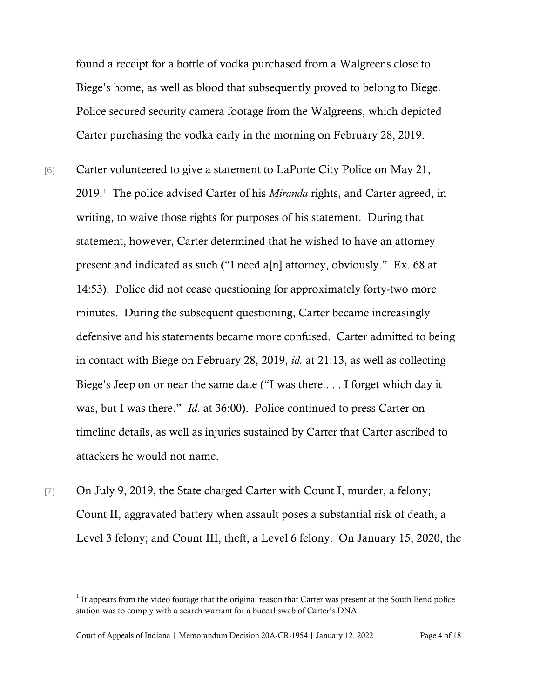found a receipt for a bottle of vodka purchased from a Walgreens close to Biege's home, as well as blood that subsequently proved to belong to Biege. Police secured security camera footage from the Walgreens, which depicted Carter purchasing the vodka early in the morning on February 28, 2019.

- [6] Carter volunteered to give a statement to LaPorte City Police on May 21, 2019.[1](#page-3-0) The police advised Carter of his *Miranda* rights, and Carter agreed, in writing, to waive those rights for purposes of his statement. During that statement, however, Carter determined that he wished to have an attorney present and indicated as such ("I need a[n] attorney, obviously." Ex. 68 at 14:53). Police did not cease questioning for approximately forty-two more minutes. During the subsequent questioning, Carter became increasingly defensive and his statements became more confused. Carter admitted to being in contact with Biege on February 28, 2019, *id.* at 21:13, as well as collecting Biege's Jeep on or near the same date ("I was there . . . I forget which day it was, but I was there." *Id*. at 36:00). Police continued to press Carter on timeline details, as well as injuries sustained by Carter that Carter ascribed to attackers he would not name.
- [7] On July 9, 2019, the State charged Carter with Count I, murder, a felony; Count II, aggravated battery when assault poses a substantial risk of death, a Level 3 felony; and Count III, theft, a Level 6 felony. On January 15, 2020, the

<span id="page-3-0"></span> $1$  It appears from the video footage that the original reason that Carter was present at the South Bend police station was to comply with a search warrant for a buccal swab of Carter's DNA.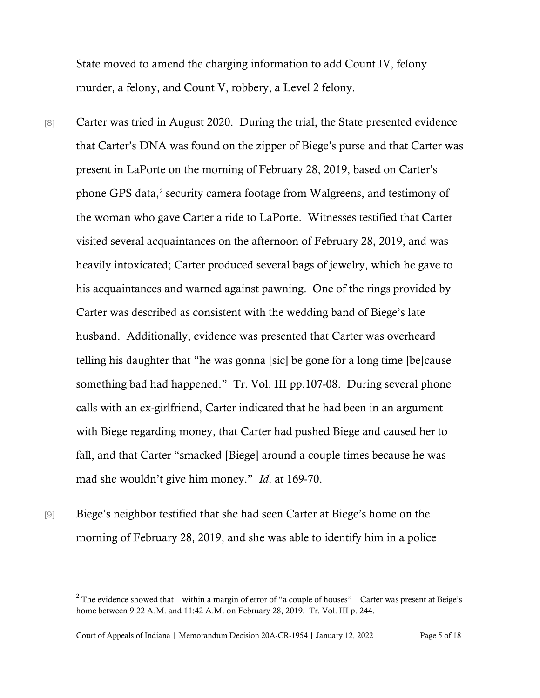State moved to amend the charging information to add Count IV, felony murder, a felony, and Count V, robbery, a Level 2 felony.

- [8] Carter was tried in August 2020. During the trial, the State presented evidence that Carter's DNA was found on the zipper of Biege's purse and that Carter was present in LaPorte on the morning of February 28, 2019, based on Carter's phone GPS data, [2](#page-4-0) security camera footage from Walgreens, and testimony of the woman who gave Carter a ride to LaPorte. Witnesses testified that Carter visited several acquaintances on the afternoon of February 28, 2019, and was heavily intoxicated; Carter produced several bags of jewelry, which he gave to his acquaintances and warned against pawning. One of the rings provided by Carter was described as consistent with the wedding band of Biege's late husband. Additionally, evidence was presented that Carter was overheard telling his daughter that "he was gonna [sic] be gone for a long time [be]cause something bad had happened." Tr. Vol. III pp.107-08. During several phone calls with an ex-girlfriend, Carter indicated that he had been in an argument with Biege regarding money, that Carter had pushed Biege and caused her to fall, and that Carter "smacked [Biege] around a couple times because he was mad she wouldn't give him money." *Id*. at 169-70.
- [9] Biege's neighbor testified that she had seen Carter at Biege's home on the morning of February 28, 2019, and she was able to identify him in a police

<span id="page-4-0"></span><sup>&</sup>lt;sup>2</sup> The evidence showed that—within a margin of error of "a couple of houses"—Carter was present at Beige's home between 9:22 A.M. and 11:42 A.M. on February 28, 2019. Tr. Vol. III p. 244.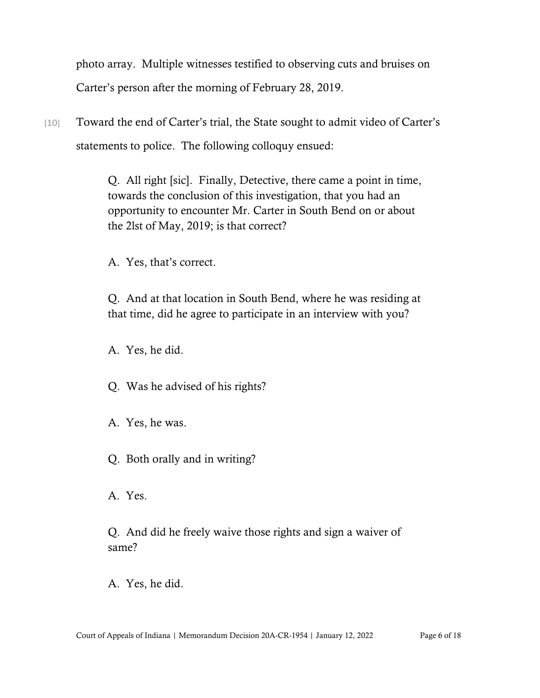photo array. Multiple witnesses testified to observing cuts and bruises on Carter's person after the morning of February 28, 2019.

[10] Toward the end of Carter's trial, the State sought to admit video of Carter's statements to police. The following colloquy ensued:

> Q. All right [sic]. Finally, Detective, there came a point in time, towards the conclusion of this investigation, that you had an opportunity to encounter Mr. Carter in South Bend on or about the 2lst of May, 2019; is that correct?

A. Yes, that's correct.

Q. And at that location in South Bend, where he was residing at that time, did he agree to participate in an interview with you?

A. Yes, he did.

Q. Was he advised of his rights?

- A. Yes, he was.
- Q. Both orally and in writing?

A. Yes.

Q. And did he freely waive those rights and sign a waiver of same?

A. Yes, he did.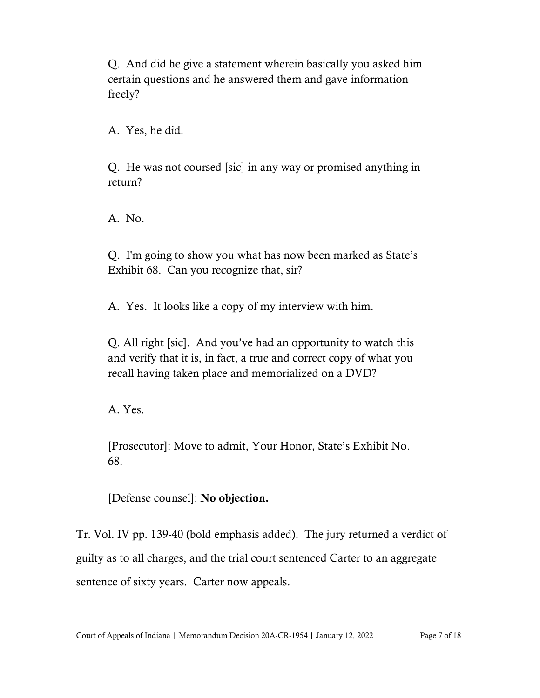Q. And did he give a statement wherein basically you asked him certain questions and he answered them and gave information freely?

A. Yes, he did.

Q. He was not coursed [sic] in any way or promised anything in return?

A. No.

Q. I'm going to show you what has now been marked as State's Exhibit 68. Can you recognize that, sir?

A. Yes. It looks like a copy of my interview with him.

Q. All right [sic]. And you've had an opportunity to watch this and verify that it is, in fact, a true and correct copy of what you recall having taken place and memorialized on a DVD?

A. Yes.

[Prosecutor]: Move to admit, Your Honor, State's Exhibit No. 68.

[Defense counsel]: No objection.

Tr. Vol. IV pp. 139-40 (bold emphasis added). The jury returned a verdict of guilty as to all charges, and the trial court sentenced Carter to an aggregate sentence of sixty years. Carter now appeals.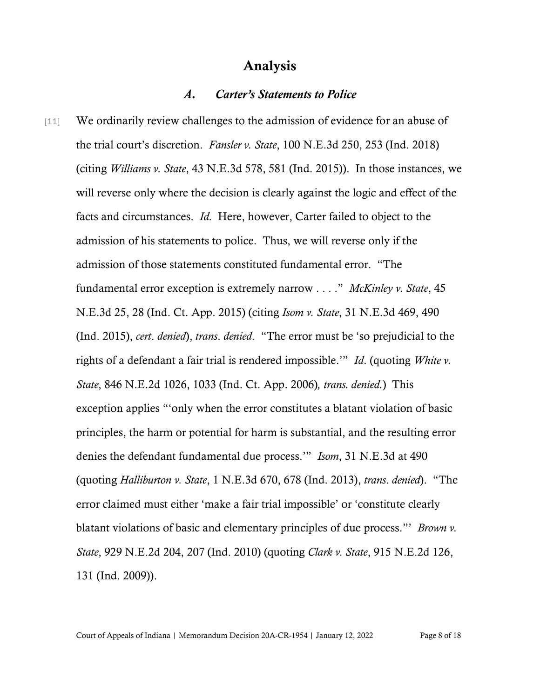## Analysis

#### *A. Carter's Statements to Police*

[11] We ordinarily review challenges to the admission of evidence for an abuse of the trial court's discretion. *Fansler v. State*, 100 N.E.3d 250, 253 (Ind. 2018) (citing *Williams v. State*, 43 N.E.3d 578, 581 (Ind. 2015)). In those instances, we will reverse only where the decision is clearly against the logic and effect of the facts and circumstances. *Id.* Here, however, Carter failed to object to the admission of his statements to police. Thus, we will reverse only if the admission of those statements constituted fundamental error. "The fundamental error exception is extremely narrow . . . ." *McKinley v. State*, 45 N.E.3d 25, 28 (Ind. Ct. App. 2015) (citing *Isom v. State*, 31 N.E.3d 469, 490 (Ind. 2015), *cert*. *denied*), *trans*. *denied*. "The error must be 'so prejudicial to the rights of a defendant a fair trial is rendered impossible.'" *Id*. (quoting *White v. State*, 846 N.E.2d 1026, 1033 (Ind. Ct. App. 2006)*, trans. denied.*) This exception applies "'only when the error constitutes a blatant violation of basic principles, the harm or potential for harm is substantial, and the resulting error denies the defendant fundamental due process.'" *Isom*, 31 N.E.3d at 490 (quoting *Halliburton v. State*, 1 N.E.3d 670, 678 (Ind. 2013), *trans*. *denied*). "The error claimed must either 'make a fair trial impossible' or 'constitute clearly blatant violations of basic and elementary principles of due process."' *Brown v. State*, 929 N.E.2d 204, 207 (Ind. 2010) (quoting *Clark v. State*, 915 N.E.2d 126, 131 (Ind. 2009)).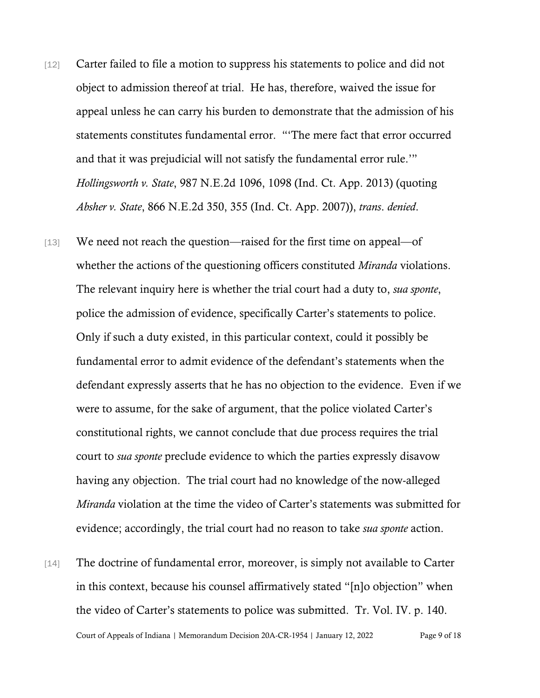- [12] Carter failed to file a motion to suppress his statements to police and did not object to admission thereof at trial. He has, therefore, waived the issue for appeal unless he can carry his burden to demonstrate that the admission of his statements constitutes fundamental error. "'The mere fact that error occurred and that it was prejudicial will not satisfy the fundamental error rule.'" *Hollingsworth v. State*, 987 N.E.2d 1096, 1098 (Ind. Ct. App. 2013) (quoting *Absher v. State*, 866 N.E.2d 350, 355 (Ind. Ct. App. 2007)), *trans*. *denied*.
- [13] We need not reach the question—raised for the first time on appeal—of whether the actions of the questioning officers constituted *Miranda* violations. The relevant inquiry here is whether the trial court had a duty to, *sua sponte*, police the admission of evidence, specifically Carter's statements to police. Only if such a duty existed, in this particular context, could it possibly be fundamental error to admit evidence of the defendant's statements when the defendant expressly asserts that he has no objection to the evidence. Even if we were to assume, for the sake of argument, that the police violated Carter's constitutional rights, we cannot conclude that due process requires the trial court to *sua sponte* preclude evidence to which the parties expressly disavow having any objection. The trial court had no knowledge of the now-alleged *Miranda* violation at the time the video of Carter's statements was submitted for evidence; accordingly, the trial court had no reason to take *sua sponte* action.
- Court of Appeals of Indiana | Memorandum Decision 20A-CR-1954 | January 12, 2022 Page 9 of 18 [14] The doctrine of fundamental error, moreover, is simply not available to Carter in this context, because his counsel affirmatively stated "[n]o objection" when the video of Carter's statements to police was submitted. Tr. Vol. IV. p. 140.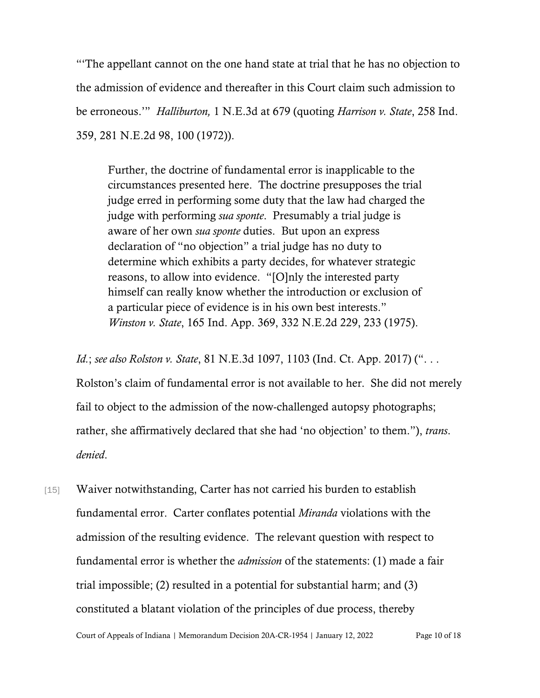"'The appellant cannot on the one hand state at trial that he has no objection to the admission of evidence and thereafter in this Court claim such admission to be erroneous.'" *Halliburton,* 1 N.E.3d at 679 (quoting *Harrison v. State*, 258 Ind. 359, 281 N.E.2d 98, 100 (1972)).

Further, the doctrine of fundamental error is inapplicable to the circumstances presented here. The doctrine presupposes the trial judge erred in performing some duty that the law had charged the judge with performing *sua sponte*. Presumably a trial judge is aware of her own *sua sponte* duties. But upon an express declaration of "no objection" a trial judge has no duty to determine which exhibits a party decides, for whatever strategic reasons, to allow into evidence. "[O]nly the interested party himself can really know whether the introduction or exclusion of a particular piece of evidence is in his own best interests." *Winston v. State*, 165 Ind. App. 369, 332 N.E.2d 229, 233 (1975).

*Id.*; *see also Rolston v. State*, 81 N.E.3d 1097, 1103 (Ind. Ct. App. 2017) (". . .

Rolston's claim of fundamental error is not available to her. She did not merely fail to object to the admission of the now-challenged autopsy photographs; rather, she affirmatively declared that she had 'no objection' to them."), *trans*. *denied*.

[15] Waiver notwithstanding, Carter has not carried his burden to establish fundamental error. Carter conflates potential *Miranda* violations with the admission of the resulting evidence. The relevant question with respect to fundamental error is whether the *admission* of the statements: (1) made a fair trial impossible; (2) resulted in a potential for substantial harm; and (3) constituted a blatant violation of the principles of due process, thereby

Court of Appeals of Indiana | Memorandum Decision 20A-CR-1954 | January 12, 2022 Page 10 of 18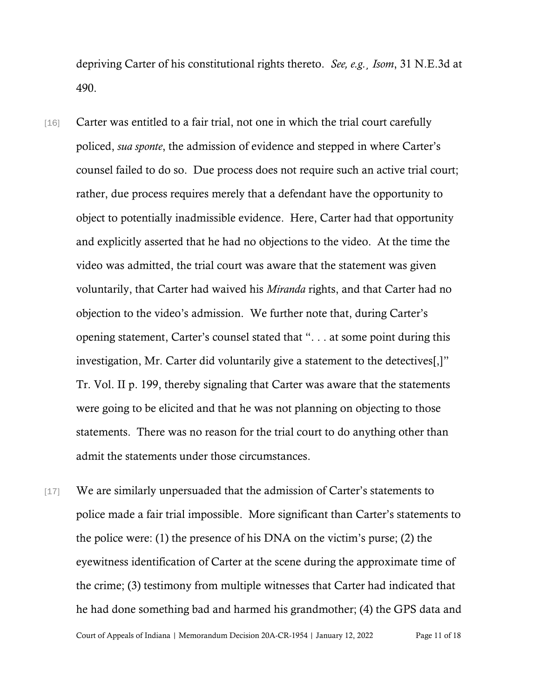depriving Carter of his constitutional rights thereto. *See, e.g.*¸ *Isom*, 31 N.E.3d at 490.

- [16] Carter was entitled to a fair trial, not one in which the trial court carefully policed, *sua sponte*, the admission of evidence and stepped in where Carter's counsel failed to do so. Due process does not require such an active trial court; rather, due process requires merely that a defendant have the opportunity to object to potentially inadmissible evidence. Here, Carter had that opportunity and explicitly asserted that he had no objections to the video. At the time the video was admitted, the trial court was aware that the statement was given voluntarily, that Carter had waived his *Miranda* rights, and that Carter had no objection to the video's admission. We further note that, during Carter's opening statement, Carter's counsel stated that ". . . at some point during this investigation, Mr. Carter did voluntarily give a statement to the detectives[,]" Tr. Vol. II p. 199, thereby signaling that Carter was aware that the statements were going to be elicited and that he was not planning on objecting to those statements. There was no reason for the trial court to do anything other than admit the statements under those circumstances.
- [17] We are similarly unpersuaded that the admission of Carter's statements to police made a fair trial impossible. More significant than Carter's statements to the police were: (1) the presence of his DNA on the victim's purse; (2) the eyewitness identification of Carter at the scene during the approximate time of the crime; (3) testimony from multiple witnesses that Carter had indicated that he had done something bad and harmed his grandmother; (4) the GPS data and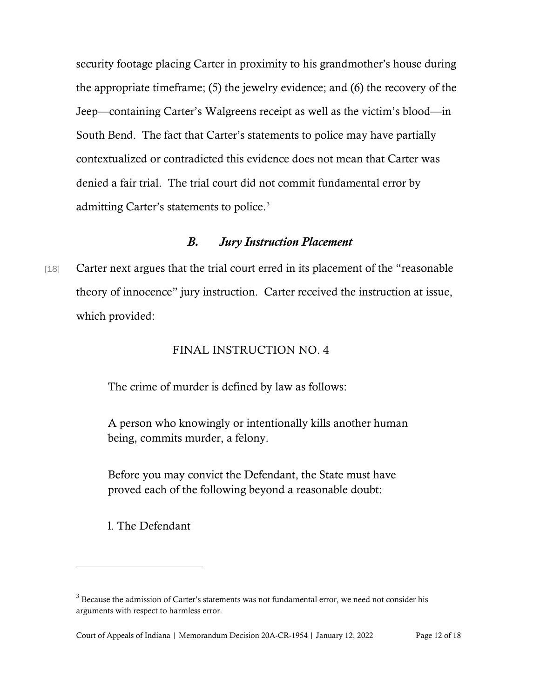security footage placing Carter in proximity to his grandmother's house during the appropriate timeframe; (5) the jewelry evidence; and (6) the recovery of the Jeep—containing Carter's Walgreens receipt as well as the victim's blood—in South Bend. The fact that Carter's statements to police may have partially contextualized or contradicted this evidence does not mean that Carter was denied a fair trial. The trial court did not commit fundamental error by admitting Carter's statements to police.[3](#page-11-0)

#### *B. Jury Instruction Placement*

[18] Carter next argues that the trial court erred in its placement of the "reasonable" theory of innocence" jury instruction. Carter received the instruction at issue, which provided:

#### FINAL INSTRUCTION NO. 4

The crime of murder is defined by law as follows:

A person who knowingly or intentionally kills another human being, commits murder, a felony.

Before you may convict the Defendant, the State must have proved each of the following beyond a reasonable doubt:

l. The Defendant

<span id="page-11-0"></span><sup>&</sup>lt;sup>3</sup> Because the admission of Carter's statements was not fundamental error, we need not consider his arguments with respect to harmless error.

Court of Appeals of Indiana | Memorandum Decision 20A-CR-1954 | January 12, 2022 Page 12 of 18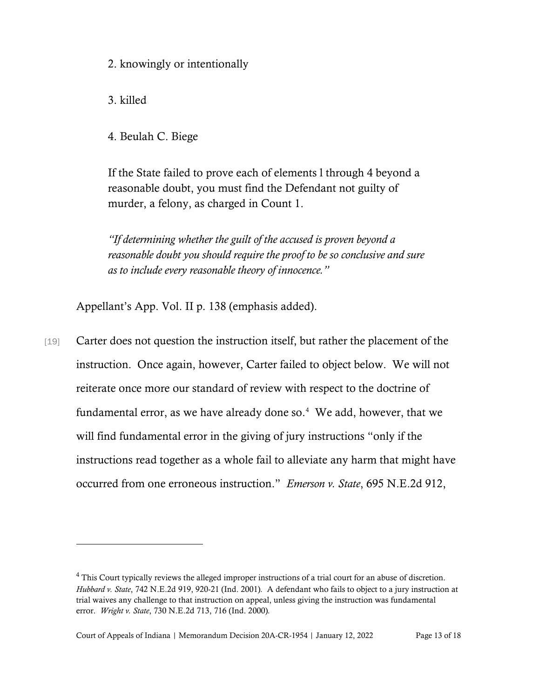2. knowingly or intentionally

3. killed

4. Beulah C. Biege

If the State failed to prove each of elements l through 4 beyond a reasonable doubt, you must find the Defendant not guilty of murder, a felony, as charged in Count 1.

*"If determining whether the guilt of the accused is proven beyond a reasonable doubt you should require the proof to be so conclusive and sure as to include every reasonable theory of innocence."*

Appellant's App. Vol. II p. 138 (emphasis added).

[19] Carter does not question the instruction itself, but rather the placement of the instruction. Once again, however, Carter failed to object below. We will not reiterate once more our standard of review with respect to the doctrine of fundamental error, as we have already done so.<sup>[4](#page-12-0)</sup> We add, however, that we will find fundamental error in the giving of jury instructions "only if the instructions read together as a whole fail to alleviate any harm that might have occurred from one erroneous instruction." *Emerson v. State*, 695 N.E.2d 912,

<span id="page-12-0"></span><sup>&</sup>lt;sup>4</sup> This Court typically reviews the alleged improper instructions of a trial court for an abuse of discretion. *Hubbard v. State*, 742 N.E.2d 919, 920-21 (Ind. 2001)*.* A defendant who fails to object to a jury instruction at trial waives any challenge to that instruction on appeal, unless giving the instruction was fundamental error. *Wright v. State*, 730 N.E.2d 713, 716 (Ind. 2000)*.*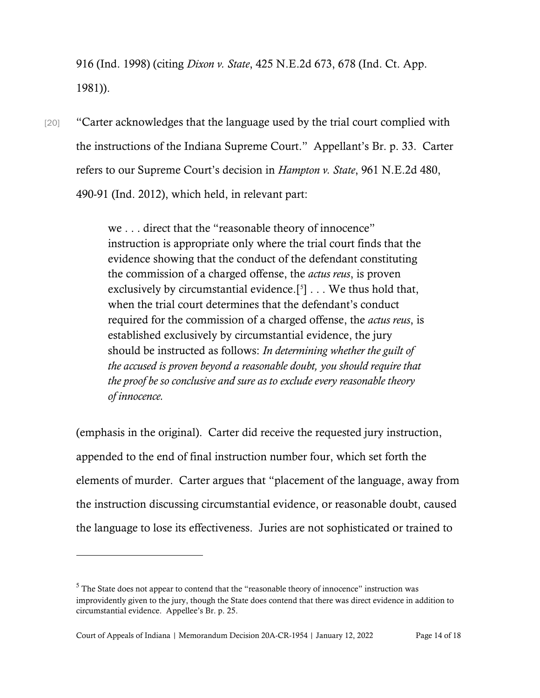916 (Ind. 1998) (citing *Dixon v. State*, 425 N.E.2d 673, 678 (Ind. Ct. App. 1981)).

[20] "Carter acknowledges that the language used by the trial court complied with the instructions of the Indiana Supreme Court." Appellant's Br. p. 33. Carter refers to our Supreme Court's decision in *Hampton v. State*, 961 N.E.2d 480, 490-91 (Ind. 2012), which held, in relevant part:

> we . . . direct that the "reasonable theory of innocence" instruction is appropriate only where the trial court finds that the evidence showing that the conduct of the defendant constituting the commission of a charged offense, the *actus reus*, is proven exclusively by circumstantial evidence.<sup>[[5](#page-13-0)]</sup>  $\ldots$  We thus hold that, when the trial court determines that the defendant's conduct required for the commission of a charged offense, the *actus reus*, is established exclusively by circumstantial evidence, the jury should be instructed as follows: *In determining whether the guilt of the accused is proven beyond a reasonable doubt, you should require that the proof be so conclusive and sure as to exclude every reasonable theory of innocence.*

(emphasis in the original). Carter did receive the requested jury instruction, appended to the end of final instruction number four, which set forth the elements of murder. Carter argues that "placement of the language, away from the instruction discussing circumstantial evidence, or reasonable doubt, caused the language to lose its effectiveness. Juries are not sophisticated or trained to

<span id="page-13-0"></span> $<sup>5</sup>$  The State does not appear to contend that the "reasonable theory of innocence" instruction was</sup> improvidently given to the jury, though the State does contend that there was direct evidence in addition to circumstantial evidence. Appellee's Br. p. 25.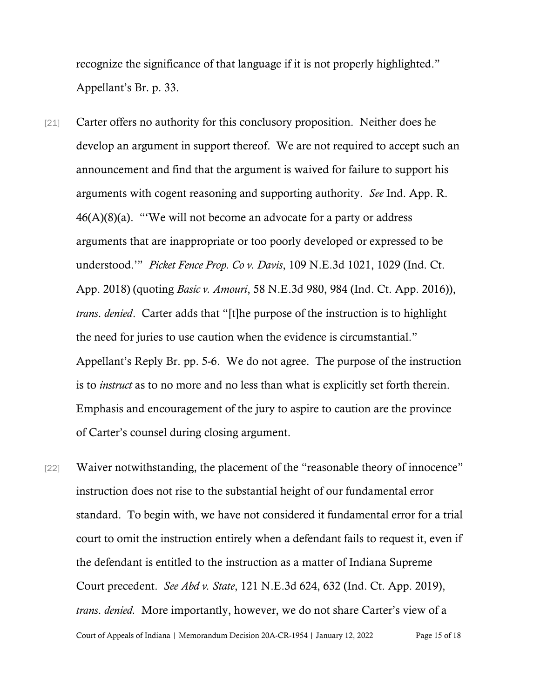recognize the significance of that language if it is not properly highlighted." Appellant's Br. p. 33.

- [21] Carter offers no authority for this conclusory proposition. Neither does he develop an argument in support thereof. We are not required to accept such an announcement and find that the argument is waived for failure to support his arguments with cogent reasoning and supporting authority. *See* Ind. App. R.  $46(A)(8)(a)$ . "We will not become an advocate for a party or address arguments that are inappropriate or too poorly developed or expressed to be understood.'" *Picket Fence Prop. Co v. Davis*, 109 N.E.3d 1021, 1029 (Ind. Ct. App. 2018) (quoting *Basic v. Amouri*, 58 N.E.3d 980, 984 (Ind. Ct. App. 2016)), *trans*. *denied*. Carter adds that "[t]he purpose of the instruction is to highlight the need for juries to use caution when the evidence is circumstantial." Appellant's Reply Br. pp. 5-6. We do not agree. The purpose of the instruction is to *instruct* as to no more and no less than what is explicitly set forth therein. Emphasis and encouragement of the jury to aspire to caution are the province of Carter's counsel during closing argument.
- Court of Appeals of Indiana | Memorandum Decision 20A-CR-1954 | January 12, 2022 Page 15 of 18 [22] Waiver notwithstanding, the placement of the "reasonable theory of innocence" instruction does not rise to the substantial height of our fundamental error standard. To begin with, we have not considered it fundamental error for a trial court to omit the instruction entirely when a defendant fails to request it, even if the defendant is entitled to the instruction as a matter of Indiana Supreme Court precedent. *See Abd v. State*, 121 N.E.3d 624, 632 (Ind. Ct. App. 2019), *trans*. *denied.* More importantly, however, we do not share Carter's view of a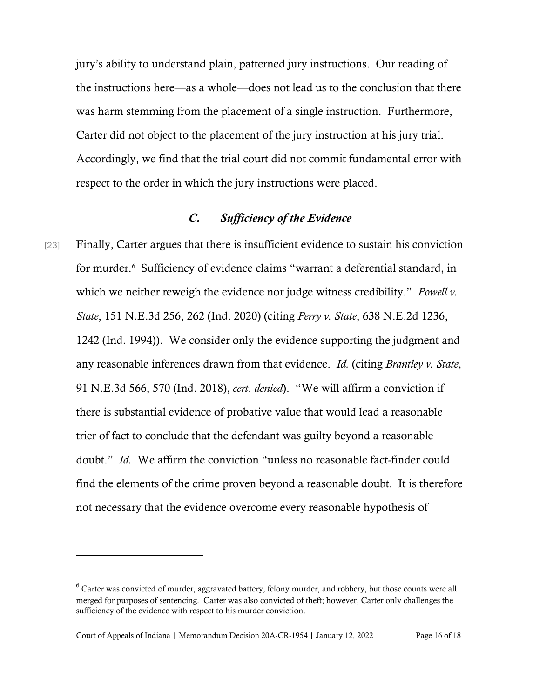jury's ability to understand plain, patterned jury instructions. Our reading of the instructions here—as a whole—does not lead us to the conclusion that there was harm stemming from the placement of a single instruction. Furthermore, Carter did not object to the placement of the jury instruction at his jury trial. Accordingly, we find that the trial court did not commit fundamental error with respect to the order in which the jury instructions were placed.

### *C. Sufficiency of the Evidence*

[23] Finally, Carter argues that there is insufficient evidence to sustain his conviction for murder.[6](#page-15-0) Sufficiency of evidence claims "warrant a deferential standard, in which we neither reweigh the evidence nor judge witness credibility." *Powell v. State*, 151 N.E.3d 256, 262 (Ind. 2020) (citing *Perry v. State*, 638 N.E.2d 1236, 1242 (Ind. 1994)). We consider only the evidence supporting the judgment and any reasonable inferences drawn from that evidence. *Id.* (citing *Brantley v. State*, 91 N.E.3d 566, 570 (Ind. 2018), *cert*. *denied*). "We will affirm a conviction if there is substantial evidence of probative value that would lead a reasonable trier of fact to conclude that the defendant was guilty beyond a reasonable doubt." *Id.* We affirm the conviction "unless no reasonable fact-finder could find the elements of the crime proven beyond a reasonable doubt. It is therefore not necessary that the evidence overcome every reasonable hypothesis of

<span id="page-15-0"></span><sup>6</sup> Carter was convicted of murder, aggravated battery, felony murder, and robbery, but those counts were all merged for purposes of sentencing. Carter was also convicted of theft; however, Carter only challenges the sufficiency of the evidence with respect to his murder conviction.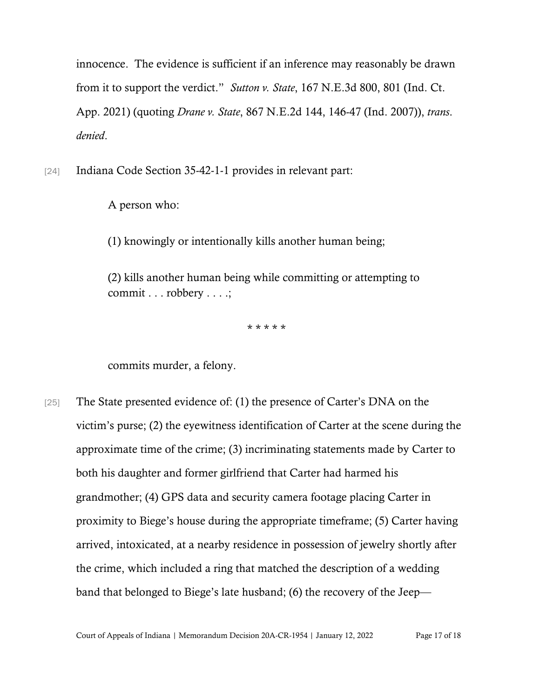innocence. The evidence is sufficient if an inference may reasonably be drawn from it to support the verdict." *Sutton v. State*, 167 N.E.3d 800, 801 (Ind. Ct. App. 2021) (quoting *Drane v. State*, 867 N.E.2d 144, 146-47 (Ind. 2007)), *trans*. *denied*.

[24] Indiana Code Section 35-42-1-1 provides in relevant part:

A person who:

(1) knowingly or intentionally kills another human being;

(2) kills another human being while committing or attempting to commit . . . robbery . . . .;

\* \* \* \* \*

commits murder, a felony.

[25] The State presented evidence of: (1) the presence of Carter's DNA on the victim's purse; (2) the eyewitness identification of Carter at the scene during the approximate time of the crime; (3) incriminating statements made by Carter to both his daughter and former girlfriend that Carter had harmed his grandmother; (4) GPS data and security camera footage placing Carter in proximity to Biege's house during the appropriate timeframe; (5) Carter having arrived, intoxicated, at a nearby residence in possession of jewelry shortly after the crime, which included a ring that matched the description of a wedding band that belonged to Biege's late husband; (6) the recovery of the Jeep—